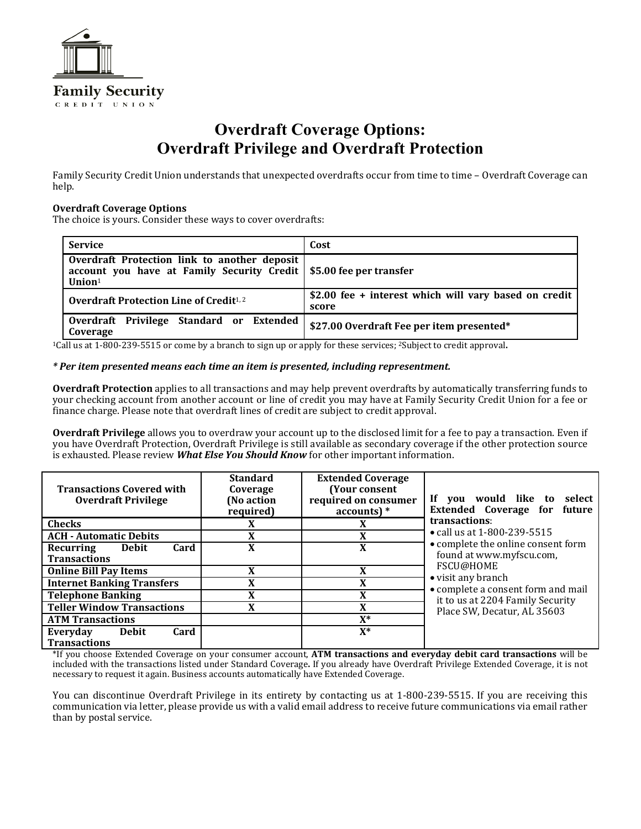

# **Overdraft Coverage Options: Overdraft Privilege and Overdraft Protection**

Family Security Credit Union understands that unexpected overdrafts occur from time to time – Overdraft Coverage can help.

## **Overdraft Coverage Options**

The choice is yours. Consider these ways to cover overdrafts:

| <b>Service</b>                                                                                                                    | Cost                                                            |  |
|-----------------------------------------------------------------------------------------------------------------------------------|-----------------------------------------------------------------|--|
| Overdraft Protection link to another deposit<br>account you have at Family Security Credit   \$5.00 fee per transfer<br>Union $1$ |                                                                 |  |
| <b>Overdraft Protection Line of Credit</b> <sup>1,2</sup>                                                                         | $$2.00$ fee + interest which will vary based on credit<br>score |  |
| Overdraft Privilege Standard or Extended<br>Coverage                                                                              | \$27.00 Overdraft Fee per item presented*                       |  |

1Call us at 1-800-239-5515 or come by a branch to sign up or apply for these services; 2Subject to credit approval**.** 

#### *\* Per item presented means each time an item is presented, including representment.*

**Overdraft Protection** applies to all transactions and may help prevent overdrafts by automatically transferring funds to your checking account from another account or line of credit you may have at Family Security Credit Union for a fee or finance charge. Please note that overdraft lines of credit are subject to credit approval.

**Overdraft Privilege** allows you to overdraw your account up to the disclosed limit for a fee to pay a transaction. Even if you have Overdraft Protection, Overdraft Privilege is still available as secondary coverage if the other protection source is exhausted. Please review *What Else You Should Know* for other important information.

| <b>Transactions Covered with</b><br><b>Overdraft Privilege</b> | <b>Standard</b><br>Coverage<br>(No action<br>required) | <b>Extended Coverage</b><br>(Your consent<br>required on consumer<br>$accounts)*$ | If you would like to select<br>Extended Coverage for future                                                                                                                                                                                                |
|----------------------------------------------------------------|--------------------------------------------------------|-----------------------------------------------------------------------------------|------------------------------------------------------------------------------------------------------------------------------------------------------------------------------------------------------------------------------------------------------------|
| <b>Checks</b>                                                  | X                                                      | X                                                                                 | transactions:<br>• call us at 1-800-239-5515<br>• complete the online consent form<br>found at www.myfscu.com,<br>FSCU@HOME<br>• visit any branch<br>• complete a consent form and mail<br>it to us at 2204 Family Security<br>Place SW, Decatur, AL 35603 |
| <b>ACH - Automatic Debits</b>                                  | X                                                      | X                                                                                 |                                                                                                                                                                                                                                                            |
| <b>Debit</b><br>Card<br>Recurring<br><b>Transactions</b>       | X                                                      | X                                                                                 |                                                                                                                                                                                                                                                            |
| <b>Online Bill Pay Items</b>                                   | X                                                      | X                                                                                 |                                                                                                                                                                                                                                                            |
| <b>Internet Banking Transfers</b>                              | X                                                      | X                                                                                 |                                                                                                                                                                                                                                                            |
| <b>Telephone Banking</b>                                       | X                                                      | X                                                                                 |                                                                                                                                                                                                                                                            |
| <b>Teller Window Transactions</b>                              | X                                                      | X                                                                                 |                                                                                                                                                                                                                                                            |
| <b>ATM Transactions</b>                                        |                                                        | $X^*$                                                                             |                                                                                                                                                                                                                                                            |
| Everyday<br><b>Debit</b><br>Card<br><b>Transactions</b>        |                                                        | $X^*$                                                                             |                                                                                                                                                                                                                                                            |

\*If you choose Extended Coverage on your consumer account, **ATM transactions and everyday debit card transactions** will be included with the transactions listed under Standard Coverage**.** If you already have Overdraft Privilege Extended Coverage, it is not necessary to request it again. Business accounts automatically have Extended Coverage.

You can discontinue Overdraft Privilege in its entirety by contacting us at 1-800-239-5515. If you are receiving this communication via letter, please provide us with a valid email address to receive future communications via email rather than by postal service.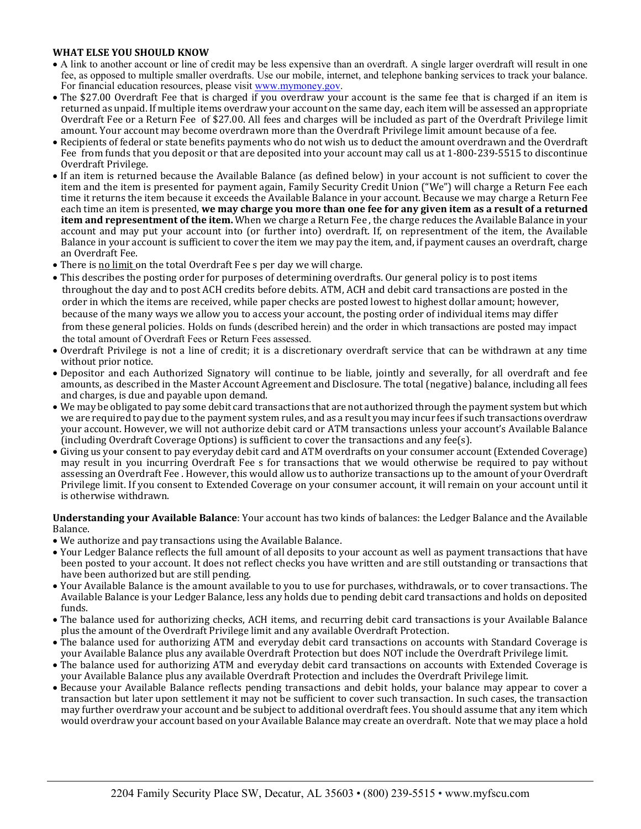# **WHAT ELSE YOU SHOULD KNOW**

- A link to another account or line of credit may be less expensive than an overdraft. A single larger overdraft will result in one fee, as opposed to multiple smaller overdrafts. Use our mobile, internet, and telephone banking services to track your balance. For financial education resources, please visit [www.mymoney.gov.](http://www.mymoney.gov/)
- The \$27.00 Overdraft Fee that is charged if you overdraw your account is the same fee that is charged if an item is returned as unpaid. If multiple items overdraw your account on the same day, each item will be assessed an appropriate Overdraft Fee or a Return Fee of \$27.00. All fees and charges will be included as part of the Overdraft Privilege limit amount. Your account may become overdrawn more than the Overdraft Privilege limit amount because of a fee.
- Recipients of federal or state benefits payments who do not wish us to deduct the amount overdrawn and the Overdraft Fee from funds that you deposit or that are deposited into your account may call us at 1-800-239-5515 to discontinue Overdraft Privilege.
- If an item is returned because the Available Balance (as defined below) in your account is not sufficient to cover the item and the item is presented for payment again, Family Security Credit Union ("We") will charge a Return Fee each time it returns the item because it exceeds the Available Balance in your account. Because we may charge a Return Fee each time an item is presented, **we may charge you more than one fee for any given item as a result of a returned item and representment of the item.** When we charge a Return Fee , the charge reduces the Available Balance in your account and may put your account into (or further into) overdraft. If, on representment of the item, the Available Balance in your account is sufficient to cover the item we may pay the item, and, if payment causes an overdraft, charge an Overdraft Fee.
- There is no limit on the total Overdraft Fee s per day we will charge.
- This describes the posting order for purposes of determining overdrafts. Our general policy is to post items throughout the day and to post ACH credits before debits. ATM, ACH and debit card transactions are posted in the order in which the items are received, while paper checks are posted lowest to highest dollar amount; however, because of the many ways we allow you to access your account, the posting order of individual items may differ from these general policies. Holds on funds (described herein) and the order in which transactions are posted may impact the total amount of Overdraft Fees or Return Fees assessed.
- Overdraft Privilege is not a line of credit; it is a discretionary overdraft service that can be withdrawn at any time without prior notice.
- Depositor and each Authorized Signatory will continue to be liable, jointly and severally, for all overdraft and fee amounts, as described in the Master Account Agreement and Disclosure. The total (negative) balance, including all fees and charges, is due and payable upon demand.
- We may be obligated to pay some debit card transactions that are not authorized through the payment system but which we are required to pay due to the payment system rules, and as a result you may incur fees if such transactions overdraw your account. However, we will not authorize debit card or ATM transactions unless your account's Available Balance (including Overdraft Coverage Options) is sufficient to cover the transactions and any fee(s).
- Giving us your consent to pay everyday debit card and ATM overdrafts on your consumer account (Extended Coverage) may result in you incurring Overdraft Fee s for transactions that we would otherwise be required to pay without assessing an Overdraft Fee . However, this would allow us to authorize transactions up to the amount of your Overdraft Privilege limit. If you consent to Extended Coverage on your consumer account, it will remain on your account until it is otherwise withdrawn.

## **Understanding your Available Balance**: Your account has two kinds of balances: the Ledger Balance and the Available Balance.

- We authorize and pay transactions using the Available Balance.
- Your Ledger Balance reflects the full amount of all deposits to your account as well as payment transactions that have been posted to your account. It does not reflect checks you have written and are still outstanding or transactions that have been authorized but are still pending.
- Your Available Balance is the amount available to you to use for purchases, withdrawals, or to cover transactions. The Available Balance is your Ledger Balance, less any holds due to pending debit card transactions and holds on deposited funds.
- The balance used for authorizing checks, ACH items, and recurring debit card transactions is your Available Balance plus the amount of the Overdraft Privilege limit and any available Overdraft Protection.
- The balance used for authorizing ATM and everyday debit card transactions on accounts with Standard Coverage is your Available Balance plus any available Overdraft Protection but does NOT include the Overdraft Privilege limit.
- The balance used for authorizing ATM and everyday debit card transactions on accounts with Extended Coverage is your Available Balance plus any available Overdraft Protection and includes the Overdraft Privilege limit.
- Because your Available Balance reflects pending transactions and debit holds, your balance may appear to cover a transaction but later upon settlement it may not be sufficient to cover such transaction. In such cases, the transaction may further overdraw your account and be subject to additional overdraft fees. You should assume that any item which would overdraw your account based on your Available Balance may create an overdraft. Note that we may place a hold